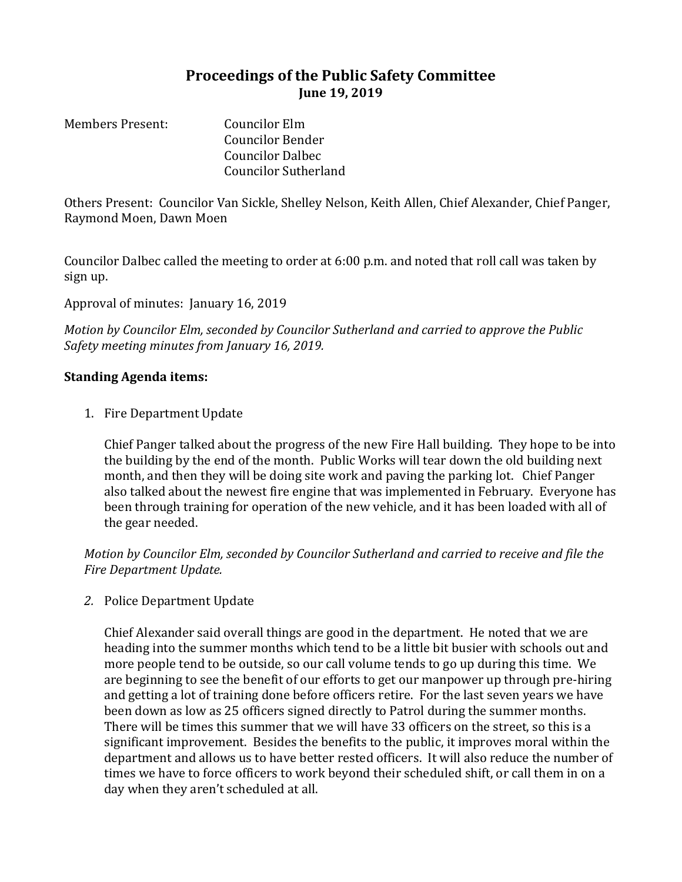## **Proceedings of the Public Safety Committee June 19, 2019**

Members Present: Councilor Elm Councilor Bender Councilor Dalbec Councilor Sutherland

Others Present: Councilor Van Sickle, Shelley Nelson, Keith Allen, Chief Alexander, Chief Panger, Raymond Moen, Dawn Moen

Councilor Dalbec called the meeting to order at 6:00 p.m. and noted that roll call was taken by sign up.

Approval of minutes: January 16, 2019

*Motion by Councilor Elm, seconded by Councilor Sutherland and carried to approve the Public Safety meeting minutes from January 16, 2019.*

## **Standing Agenda items:**

1. Fire Department Update

Chief Panger talked about the progress of the new Fire Hall building. They hope to be into the building by the end of the month. Public Works will tear down the old building next month, and then they will be doing site work and paving the parking lot. Chief Panger also talked about the newest fire engine that was implemented in February. Everyone has been through training for operation of the new vehicle, and it has been loaded with all of the gear needed.

*Motion by Councilor Elm, seconded by Councilor Sutherland and carried to receive and file the Fire Department Update.*

*2.* Police Department Update

Chief Alexander said overall things are good in the department. He noted that we are heading into the summer months which tend to be a little bit busier with schools out and more people tend to be outside, so our call volume tends to go up during this time. We are beginning to see the benefit of our efforts to get our manpower up through pre-hiring and getting a lot of training done before officers retire. For the last seven years we have been down as low as 25 officers signed directly to Patrol during the summer months. There will be times this summer that we will have 33 officers on the street, so this is a significant improvement. Besides the benefits to the public, it improves moral within the department and allows us to have better rested officers. It will also reduce the number of times we have to force officers to work beyond their scheduled shift, or call them in on a day when they aren't scheduled at all.